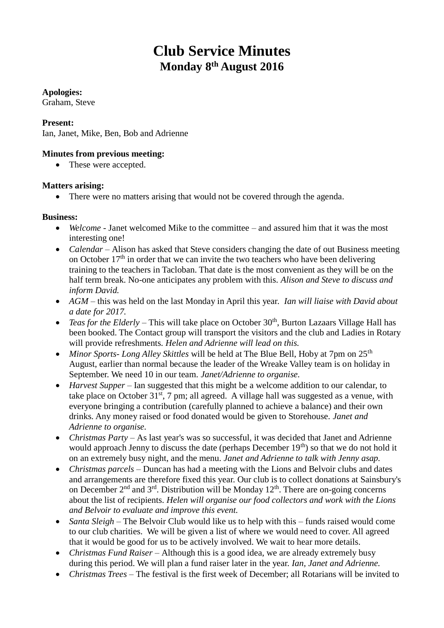# **Club Service Minutes Monday 8th August 2016**

## **Apologies:**

Graham, Steve

## **Present:**

Ian, Janet, Mike, Ben, Bob and Adrienne

# **Minutes from previous meeting:**

• These were accepted.

#### **Matters arising:**

• There were no matters arising that would not be covered through the agenda.

#### **Business:**

- *Welcome -* Janet welcomed Mike to the committee and assured him that it was the most interesting one!
- *Calendar* Alison has asked that Steve considers changing the date of out Business meeting on October  $17<sup>th</sup>$  in order that we can invite the two teachers who have been delivering training to the teachers in Tacloban. That date is the most convenient as they will be on the half term break. No-one anticipates any problem with this. *Alison and Steve to discuss and inform David.*
- *AGM –* this was held on the last Monday in April this year. *Ian will liaise with David about a date for 2017.*
- *Teas for the Elderly* This will take place on October 30<sup>th</sup>, Burton Lazaars Village Hall has been booked. The Contact group will transport the visitors and the club and Ladies in Rotary will provide refreshments. *Helen and Adrienne will lead on this.*
- *Minor Sports- Long Alley Skittles* will be held at The Blue Bell, Hoby at 7pm on 25th August, earlier than normal because the leader of the Wreake Valley team is on holiday in September. We need 10 in our team. *Janet/Adrienne to organise.*
- *Harvest Supper –* Ian suggested that this might be a welcome addition to our calendar, to take place on October  $31<sup>st</sup>$ , 7 pm; all agreed. A village hall was suggested as a venue, with everyone bringing a contribution (carefully planned to achieve a balance) and their own drinks. Any money raised or food donated would be given to Storehouse. *Janet and Adrienne to organise.*
- *Christmas Party –* As last year's was so successful, it was decided that Janet and Adrienne would approach Jenny to discuss the date (perhaps December  $19<sup>th</sup>$ ) so that we do not hold it on an extremely busy night, and the menu. *Janet and Adrienne to talk with Jenny asap.*
- *Christmas parcels –* Duncan has had a meeting with the Lions and Belvoir clubs and dates and arrangements are therefore fixed this year. Our club is to collect donations at Sainsbury's on December  $2<sup>nd</sup>$  and  $3<sup>rd</sup>$ . Distribution will be Monday  $12<sup>th</sup>$ . There are on-going concerns about the list of recipients. *Helen will organise our food collectors and work with the Lions and Belvoir to evaluate and improve this event.*
- *Santa Sleigh* The Belvoir Club would like us to help with this funds raised would come to our club charities. We will be given a list of where we would need to cover. All agreed that it would be good for us to be actively involved. We wait to hear more details.
- *Christmas Fund Raiser –* Although this is a good idea, we are already extremely busy during this period. We will plan a fund raiser later in the year. *Ian, Janet and Adrienne.*
- *Christmas Trees –* The festival is the first week of December; all Rotarians will be invited to